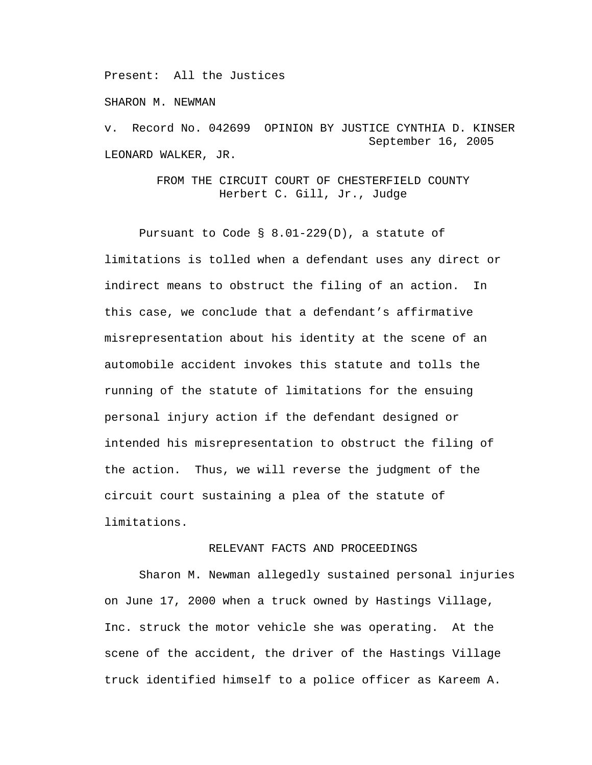Present: All the Justices

SHARON M. NEWMAN

v. Record No. 042699 OPINION BY JUSTICE CYNTHIA D. KINSER September 16, 2005 LEONARD WALKER, JR.

> FROM THE CIRCUIT COURT OF CHESTERFIELD COUNTY Herbert C. Gill, Jr., Judge

 Pursuant to Code § 8.01-229(D), a statute of limitations is tolled when a defendant uses any direct or indirect means to obstruct the filing of an action. In this case, we conclude that a defendant's affirmative misrepresentation about his identity at the scene of an automobile accident invokes this statute and tolls the running of the statute of limitations for the ensuing personal injury action if the defendant designed or intended his misrepresentation to obstruct the filing of the action. Thus, we will reverse the judgment of the circuit court sustaining a plea of the statute of limitations.

## RELEVANT FACTS AND PROCEEDINGS

Sharon M. Newman allegedly sustained personal injuries on June 17, 2000 when a truck owned by Hastings Village, Inc. struck the motor vehicle she was operating. At the scene of the accident, the driver of the Hastings Village truck identified himself to a police officer as Kareem A.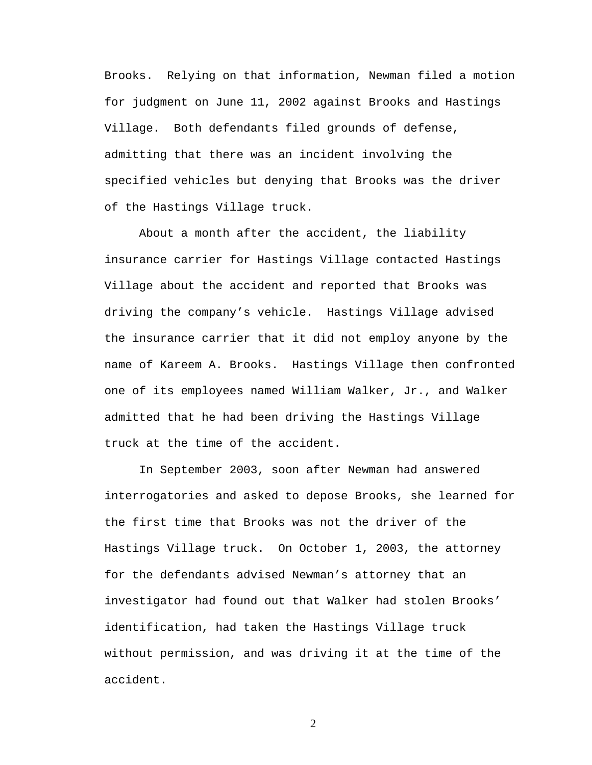Brooks. Relying on that information, Newman filed a motion for judgment on June 11, 2002 against Brooks and Hastings Village. Both defendants filed grounds of defense, admitting that there was an incident involving the specified vehicles but denying that Brooks was the driver of the Hastings Village truck.

About a month after the accident, the liability insurance carrier for Hastings Village contacted Hastings Village about the accident and reported that Brooks was driving the company's vehicle. Hastings Village advised the insurance carrier that it did not employ anyone by the name of Kareem A. Brooks. Hastings Village then confronted one of its employees named William Walker, Jr., and Walker admitted that he had been driving the Hastings Village truck at the time of the accident.

In September 2003, soon after Newman had answered interrogatories and asked to depose Brooks, she learned for the first time that Brooks was not the driver of the Hastings Village truck. On October 1, 2003, the attorney for the defendants advised Newman's attorney that an investigator had found out that Walker had stolen Brooks' identification, had taken the Hastings Village truck without permission, and was driving it at the time of the accident.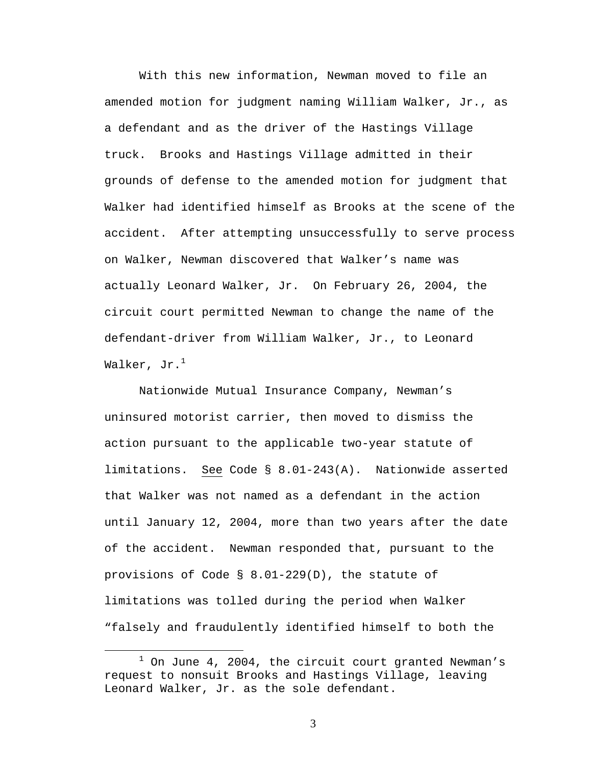With this new information, Newman moved to file an amended motion for judgment naming William Walker, Jr., as a defendant and as the driver of the Hastings Village truck. Brooks and Hastings Village admitted in their grounds of defense to the amended motion for judgment that Walker had identified himself as Brooks at the scene of the accident. After attempting unsuccessfully to serve process on Walker, Newman discovered that Walker's name was actually Leonard Walker, Jr. On February 26, 2004, the circuit court permitted Newman to change the name of the defendant-driver from William Walker, Jr., to Leonard Walker, Jr.<sup>1</sup>

 Nationwide Mutual Insurance Company, Newman's uninsured motorist carrier, then moved to dismiss the action pursuant to the applicable two-year statute of limitations. See Code § 8.01-243(A). Nationwide asserted that Walker was not named as a defendant in the action until January 12, 2004, more than two years after the date of the accident. Newman responded that, pursuant to the provisions of Code § 8.01-229(D), the statute of limitations was tolled during the period when Walker "falsely and fraudulently identified himself to both the

 $\begin{array}{c}\n\hline\n\hline\n\hline\n\hline\n\hline\n\end{array}$  $1$  On June 4, 2004, the circuit court granted Newman's request to nonsuit Brooks and Hastings Village, leaving Leonard Walker, Jr. as the sole defendant.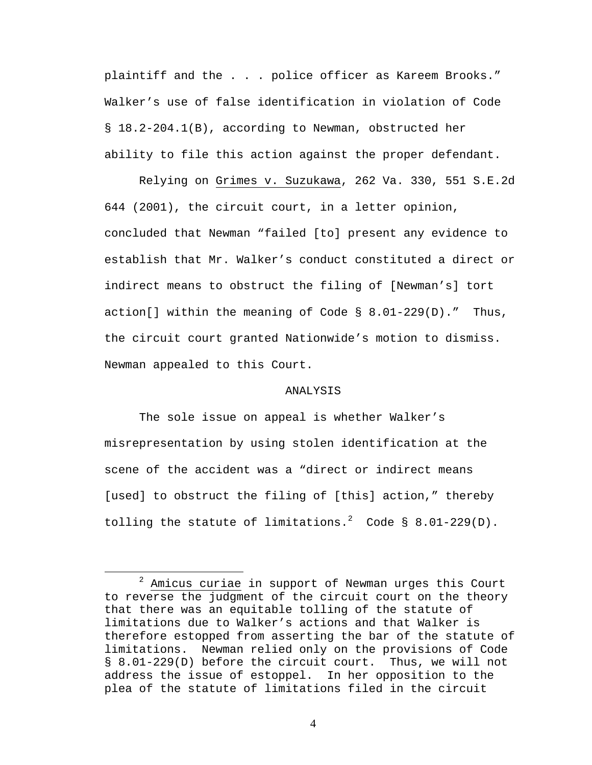plaintiff and the . . . police officer as Kareem Brooks." Walker's use of false identification in violation of Code § 18.2-204.1(B), according to Newman, obstructed her ability to file this action against the proper defendant.

 Relying on Grimes v. Suzukawa, 262 Va. 330, 551 S.E.2d 644 (2001), the circuit court, in a letter opinion, concluded that Newman "failed [to] present any evidence to establish that Mr. Walker's conduct constituted a direct or indirect means to obstruct the filing of [Newman's] tort action[] within the meaning of Code  $\S$  8.01-229(D)." Thus, the circuit court granted Nationwide's motion to dismiss. Newman appealed to this Court.

## ANALYSIS

The sole issue on appeal is whether Walker's misrepresentation by using stolen identification at the scene of the accident was a "direct or indirect means [used] to obstruct the filing of [this] action," thereby tolling the statute of limitations.<sup>2</sup> Code § 8.01-229(D).

<sup>2</sup>  $2$  Amicus curiae in support of Newman urges this Court to reverse the judgment of the circuit court on the theory that there was an equitable tolling of the statute of limitations due to Walker's actions and that Walker is therefore estopped from asserting the bar of the statute of limitations. Newman relied only on the provisions of Code § 8.01-229(D) before the circuit court. Thus, we will not address the issue of estoppel. In her opposition to the plea of the statute of limitations filed in the circuit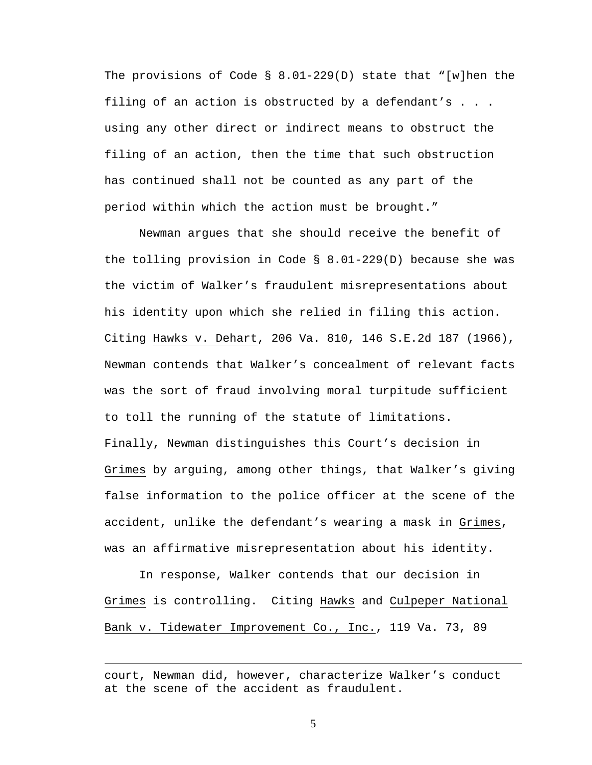The provisions of Code  $\S$  8.01-229(D) state that "[w]hen the filing of an action is obstructed by a defendant's . . . using any other direct or indirect means to obstruct the filing of an action, then the time that such obstruction has continued shall not be counted as any part of the period within which the action must be brought."

Newman argues that she should receive the benefit of the tolling provision in Code § 8.01-229(D) because she was the victim of Walker's fraudulent misrepresentations about his identity upon which she relied in filing this action. Citing Hawks v. Dehart, 206 Va. 810, 146 S.E.2d 187 (1966), Newman contends that Walker's concealment of relevant facts was the sort of fraud involving moral turpitude sufficient to toll the running of the statute of limitations. Finally, Newman distinguishes this Court's decision in Grimes by arguing, among other things, that Walker's giving false information to the police officer at the scene of the accident, unlike the defendant's wearing a mask in Grimes, was an affirmative misrepresentation about his identity.

 In response, Walker contends that our decision in Grimes is controlling. Citing Hawks and Culpeper National Bank v. Tidewater Improvement Co., Inc., 119 Va. 73, 89

 $\overline{a}$ 

court, Newman did, however, characterize Walker's conduct at the scene of the accident as fraudulent.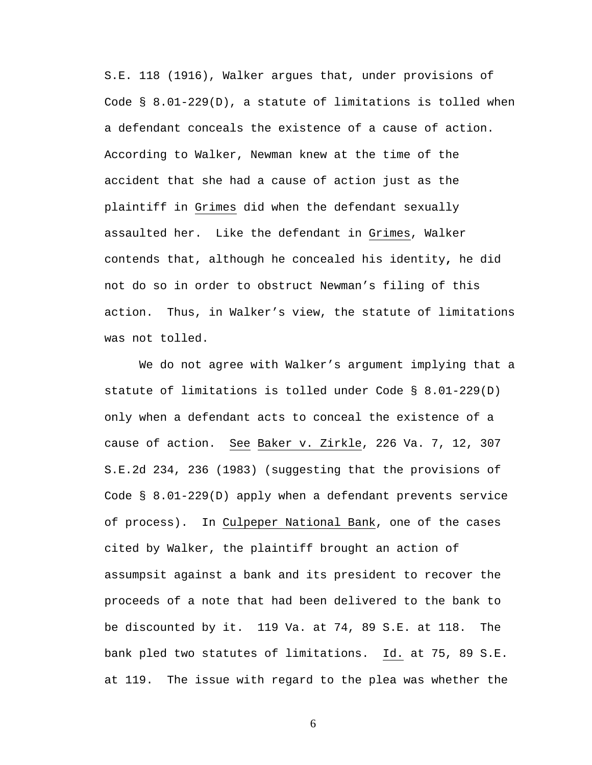S.E. 118 (1916), Walker argues that, under provisions of Code § 8.01-229(D), a statute of limitations is tolled when a defendant conceals the existence of a cause of action. According to Walker, Newman knew at the time of the accident that she had a cause of action just as the plaintiff in Grimes did when the defendant sexually assaulted her. Like the defendant in Grimes, Walker contends that, although he concealed his identity**,** he did not do so in order to obstruct Newman's filing of this action. Thus, in Walker's view, the statute of limitations was not tolled.

We do not agree with Walker's argument implying that a statute of limitations is tolled under Code § 8.01-229(D) only when a defendant acts to conceal the existence of a cause of action. See Baker v. Zirkle, 226 Va. 7, 12, 307 S.E.2d 234, 236 (1983) (suggesting that the provisions of Code § 8.01-229(D) apply when a defendant prevents service of process). In Culpeper National Bank, one of the cases cited by Walker, the plaintiff brought an action of assumpsit against a bank and its president to recover the proceeds of a note that had been delivered to the bank to be discounted by it. 119 Va. at 74, 89 S.E. at 118. The bank pled two statutes of limitations. Id. at 75, 89 S.E. at 119. The issue with regard to the plea was whether the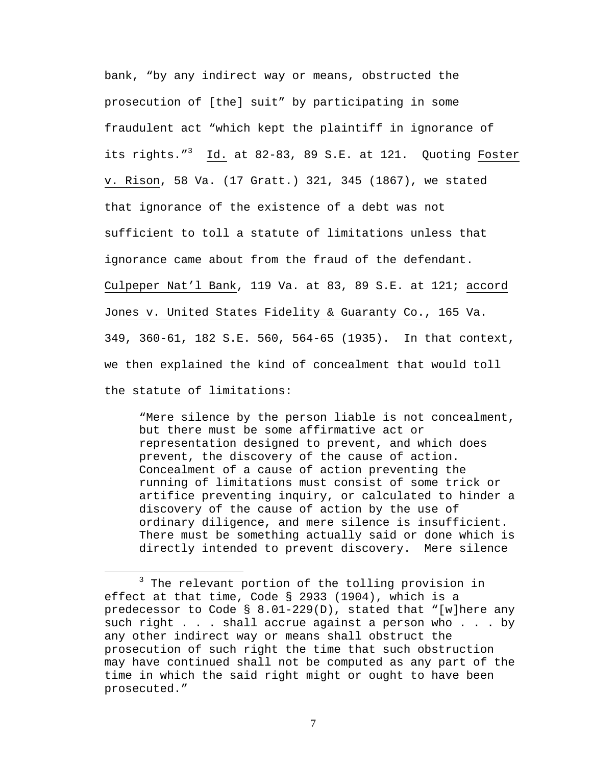bank, "by any indirect way or means, obstructed the prosecution of [the] suit" by participating in some fraudulent act "which kept the plaintiff in ignorance of its rights."<sup>3</sup> Id. at 82-83, 89 S.E. at 121. Quoting Foster v. Rison, 58 Va. (17 Gratt.) 321, 345 (1867), we stated that ignorance of the existence of a debt was not sufficient to toll a statute of limitations unless that ignorance came about from the fraud of the defendant. Culpeper Nat'l Bank, 119 Va. at 83, 89 S.E. at 121; accord Jones v. United States Fidelity & Guaranty Co., 165 Va. 349, 360-61, 182 S.E. 560, 564-65 (1935). In that context, we then explained the kind of concealment that would toll the statute of limitations:

 "Mere silence by the person liable is not concealment, but there must be some affirmative act or representation designed to prevent, and which does prevent, the discovery of the cause of action. Concealment of a cause of action preventing the running of limitations must consist of some trick or artifice preventing inquiry, or calculated to hinder a discovery of the cause of action by the use of ordinary diligence, and mere silence is insufficient. There must be something actually said or done which is directly intended to prevent discovery. Mere silence

 $\overline{\phantom{a}}$  3  $3$  The relevant portion of the tolling provision in effect at that time, Code § 2933 (1904), which is a predecessor to Code § 8.01-229(D), stated that "[w]here any such right . . . shall accrue against a person who . . . by any other indirect way or means shall obstruct the prosecution of such right the time that such obstruction may have continued shall not be computed as any part of the time in which the said right might or ought to have been prosecuted."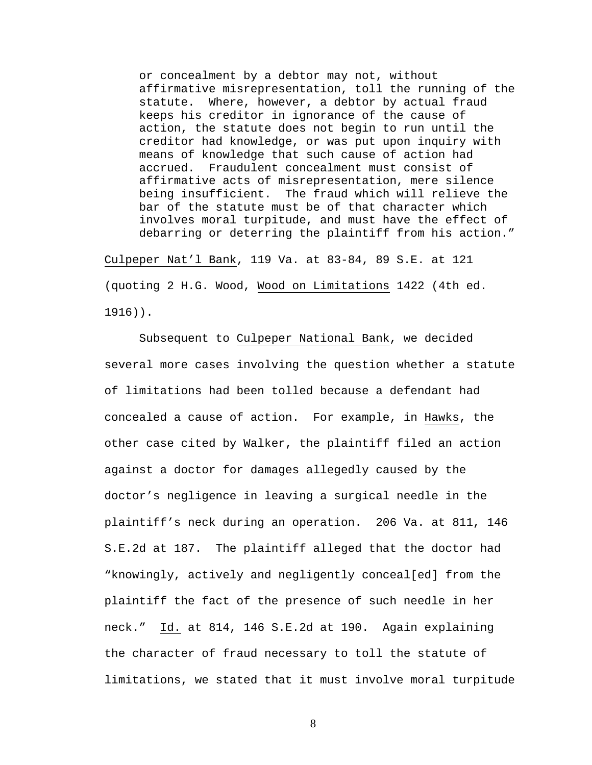or concealment by a debtor may not, without affirmative misrepresentation, toll the running of the statute. Where, however, a debtor by actual fraud keeps his creditor in ignorance of the cause of action, the statute does not begin to run until the creditor had knowledge, or was put upon inquiry with means of knowledge that such cause of action had accrued. Fraudulent concealment must consist of affirmative acts of misrepresentation, mere silence being insufficient. The fraud which will relieve the bar of the statute must be of that character which involves moral turpitude, and must have the effect of debarring or deterring the plaintiff from his action."

Culpeper Nat'l Bank, 119 Va. at 83-84, 89 S.E. at 121 (quoting 2 H.G. Wood, Wood on Limitations 1422 (4th ed. 1916)).

Subsequent to Culpeper National Bank, we decided several more cases involving the question whether a statute of limitations had been tolled because a defendant had concealed a cause of action. For example, in Hawks, the other case cited by Walker, the plaintiff filed an action against a doctor for damages allegedly caused by the doctor's negligence in leaving a surgical needle in the plaintiff's neck during an operation. 206 Va. at 811, 146 S.E.2d at 187. The plaintiff alleged that the doctor had "knowingly, actively and negligently conceal[ed] from the plaintiff the fact of the presence of such needle in her neck." Id. at 814, 146 S.E.2d at 190. Again explaining the character of fraud necessary to toll the statute of limitations, we stated that it must involve moral turpitude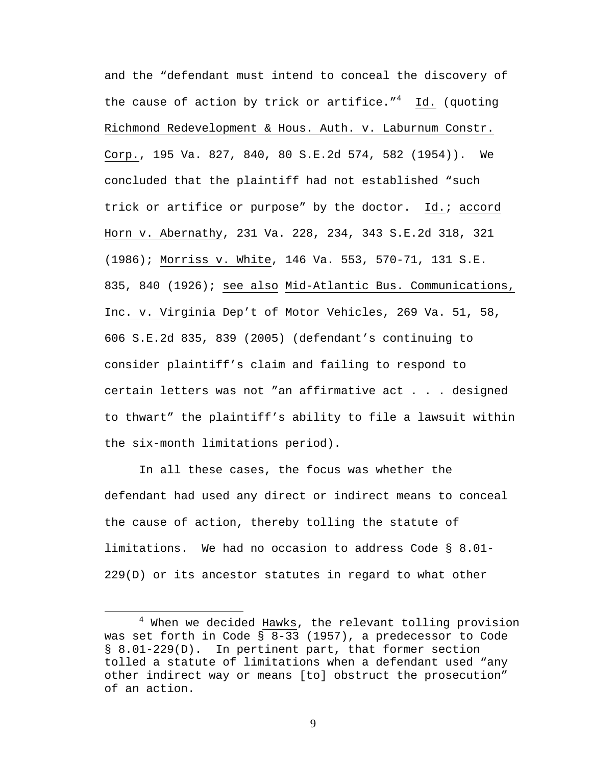and the "defendant must intend to conceal the discovery of the cause of action by trick or artifice."<sup>4</sup> Id. (quoting Richmond Redevelopment & Hous. Auth. v. Laburnum Constr. Corp., 195 Va. 827, 840, 80 S.E.2d 574, 582 (1954)). We concluded that the plaintiff had not established "such trick or artifice or purpose" by the doctor. Id.; accord Horn v. Abernathy, 231 Va. 228, 234, 343 S.E.2d 318, 321 (1986); Morriss v. White, 146 Va. 553, 570-71, 131 S.E. 835, 840 (1926); see also Mid-Atlantic Bus. Communications, Inc. v. Virginia Dep't of Motor Vehicles, 269 Va. 51, 58, 606 S.E.2d 835, 839 (2005) (defendant's continuing to consider plaintiff's claim and failing to respond to certain letters was not "an affirmative act . . . designed to thwart" the plaintiff's ability to file a lawsuit within the six-month limitations period).

 In all these cases, the focus was whether the defendant had used any direct or indirect means to conceal the cause of action, thereby tolling the statute of limitations. We had no occasion to address Code § 8.01- 229(D) or its ancestor statutes in regard to what other

 $\overline{4}$  $4$  When we decided Hawks, the relevant tolling provision was set forth in Code § 8-33 (1957), a predecessor to Code § 8.01-229(D). In pertinent part, that former section tolled a statute of limitations when a defendant used "any other indirect way or means [to] obstruct the prosecution" of an action.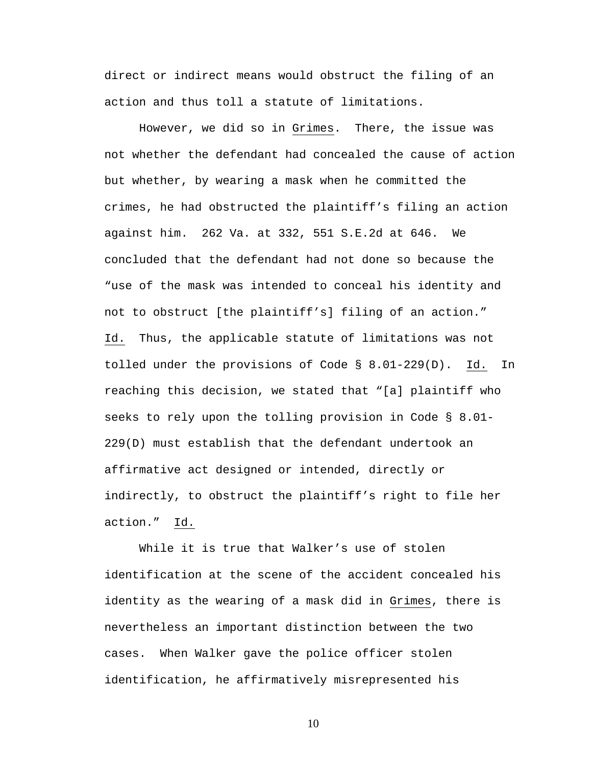direct or indirect means would obstruct the filing of an action and thus toll a statute of limitations.

 However, we did so in Grimes. There, the issue was not whether the defendant had concealed the cause of action but whether, by wearing a mask when he committed the crimes, he had obstructed the plaintiff's filing an action against him. 262 Va. at 332, 551 S.E.2d at 646. We concluded that the defendant had not done so because the "use of the mask was intended to conceal his identity and not to obstruct [the plaintiff's] filing of an action." Id. Thus, the applicable statute of limitations was not tolled under the provisions of Code § 8.01-229(D). Id. In reaching this decision, we stated that "[a] plaintiff who seeks to rely upon the tolling provision in Code § 8.01- 229(D) must establish that the defendant undertook an affirmative act designed or intended, directly or indirectly, to obstruct the plaintiff's right to file her action." Id.

 While it is true that Walker's use of stolen identification at the scene of the accident concealed his identity as the wearing of a mask did in Grimes, there is nevertheless an important distinction between the two cases. When Walker gave the police officer stolen identification, he affirmatively misrepresented his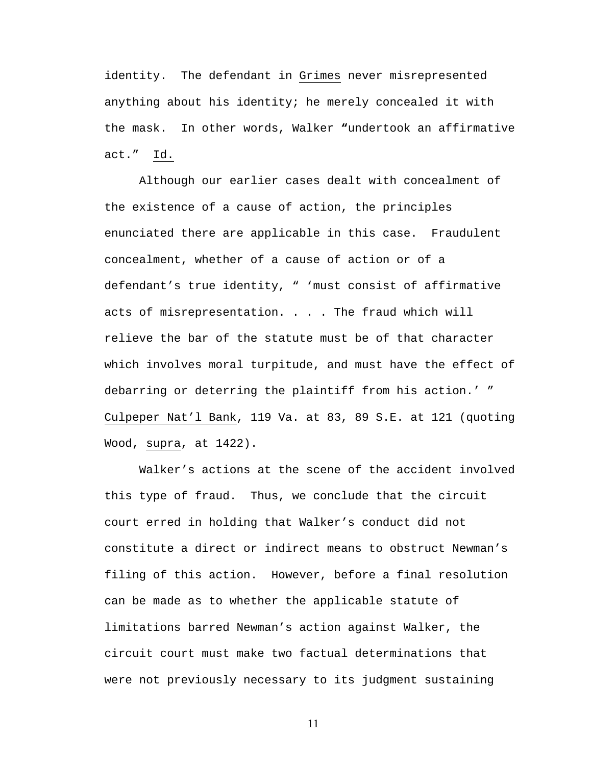identity. The defendant in Grimes never misrepresented anything about his identity; he merely concealed it with the mask. In other words, Walker **"**undertook an affirmative act." Id.

Although our earlier cases dealt with concealment of the existence of a cause of action, the principles enunciated there are applicable in this case. Fraudulent concealment, whether of a cause of action or of a defendant's true identity, " 'must consist of affirmative acts of misrepresentation. . . . The fraud which will relieve the bar of the statute must be of that character which involves moral turpitude, and must have the effect of debarring or deterring the plaintiff from his action.' " Culpeper Nat'l Bank, 119 Va. at 83, 89 S.E. at 121 (quoting Wood, supra, at 1422).

 Walker's actions at the scene of the accident involved this type of fraud. Thus, we conclude that the circuit court erred in holding that Walker's conduct did not constitute a direct or indirect means to obstruct Newman's filing of this action. However, before a final resolution can be made as to whether the applicable statute of limitations barred Newman's action against Walker, the circuit court must make two factual determinations that were not previously necessary to its judgment sustaining